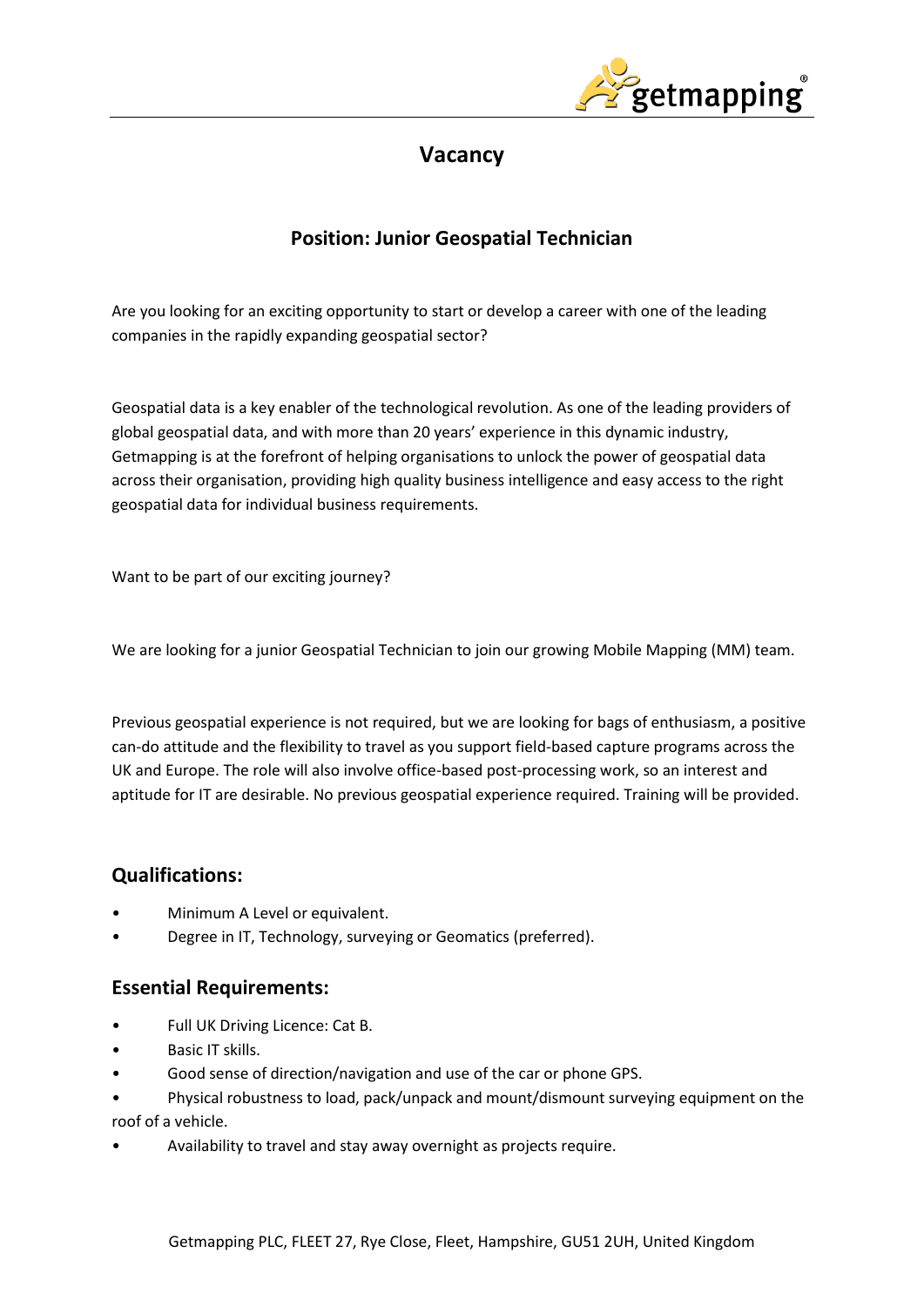

# **Vacancy**

# **Position: Junior Geospatial Technician**

Are you looking for an exciting opportunity to start or develop a career with one of the leading companies in the rapidly expanding geospatial sector?

Geospatial data is a key enabler of the technological revolution. As one of the leading providers of global geospatial data, and with more than 20 years' experience in this dynamic industry, Getmapping is at the forefront of helping organisations to unlock the power of geospatial data across their organisation, providing high quality business intelligence and easy access to the right geospatial data for individual business requirements.

Want to be part of our exciting journey?

We are looking for a junior Geospatial Technician to join our growing Mobile Mapping (MM) team.

Previous geospatial experience is not required, but we are looking for bags of enthusiasm, a positive can-do attitude and the flexibility to travel as you support field-based capture programs across the UK and Europe. The role will also involve office-based post-processing work, so an interest and aptitude for IT are desirable. No previous geospatial experience required. Training will be provided.

## **Qualifications:**

- Minimum A Level or equivalent.
- Degree in IT, Technology, surveying or Geomatics (preferred).

### **Essential Requirements:**

- Full UK Driving Licence: Cat B.
- Basic IT skills.
- Good sense of direction/navigation and use of the car or phone GPS.
- Physical robustness to load, pack/unpack and mount/dismount surveying equipment on the roof of a vehicle.
- Availability to travel and stay away overnight as projects require.